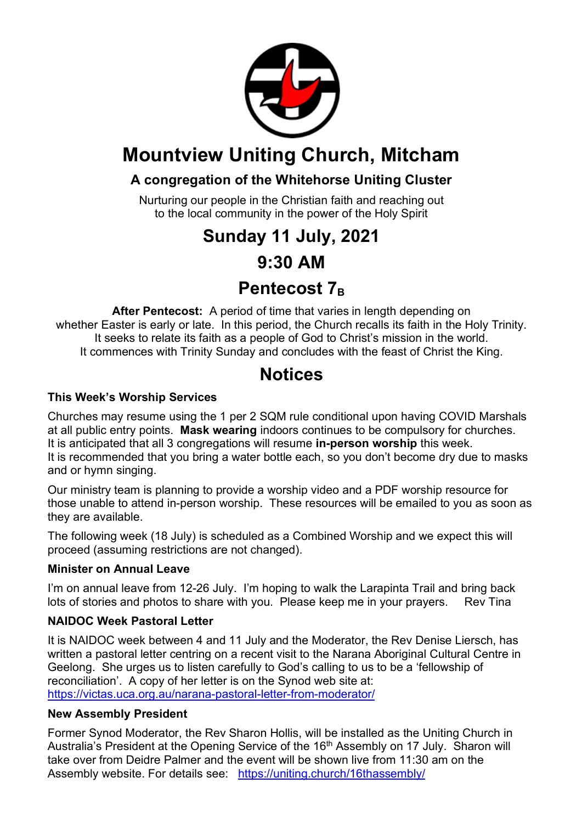

## **Mountview Uniting Church, Mitcham**

### **A congregation of the Whitehorse Uniting Cluster**

Nurturing our people in the Christian faith and reaching out to the local community in the power of the Holy Spirit

## **Sunday 11 July, 2021**

### **9:30 AM**

## **Pentecost 7B**

**After Pentecost:** A period of time that varies in length depending on whether Easter is early or late. In this period, the Church recalls its faith in the Holy Trinity. It seeks to relate its faith as a people of God to Christ's mission in the world. It commences with Trinity Sunday and concludes with the feast of Christ the King.

## **Notices**

#### **This Week's Worship Services**

Churches may resume using the 1 per 2 SQM rule conditional upon having COVID Marshals at all public entry points. **Mask wearing** indoors continues to be compulsory for churches. It is anticipated that all 3 congregations will resume **in-person worship** this week. It is recommended that you bring a water bottle each, so you don't become dry due to masks and or hymn singing.

Our ministry team is planning to provide a worship video and a PDF worship resource for those unable to attend in-person worship. These resources will be emailed to you as soon as they are available.

The following week (18 July) is scheduled as a Combined Worship and we expect this will proceed (assuming restrictions are not changed).

#### **Minister on Annual Leave**

I'm on annual leave from 12-26 July. I'm hoping to walk the Larapinta Trail and bring back lots of stories and photos to share with you. Please keep me in your prayers. Rev Tina

#### **NAIDOC Week Pastoral Letter**

It is NAIDOC week between 4 and 11 July and the Moderator, the Rev Denise Liersch, has written a pastoral letter centring on a recent visit to the Narana Aboriginal Cultural Centre in Geelong. She urges us to listen carefully to God's calling to us to be a 'fellowship of reconciliation'. A copy of her letter is on the Synod web site at: https://victas.uca.org.au/narana-pastoral-letter-from-moderator/

#### **New Assembly President**

Former Synod Moderator, the Rev Sharon Hollis, will be installed as the Uniting Church in Australia's President at the Opening Service of the 16<sup>th</sup> Assembly on 17 July. Sharon will take over from Deidre Palmer and the event will be shown live from 11:30 am on the Assembly website. For details see: https://uniting.church/16thassembly/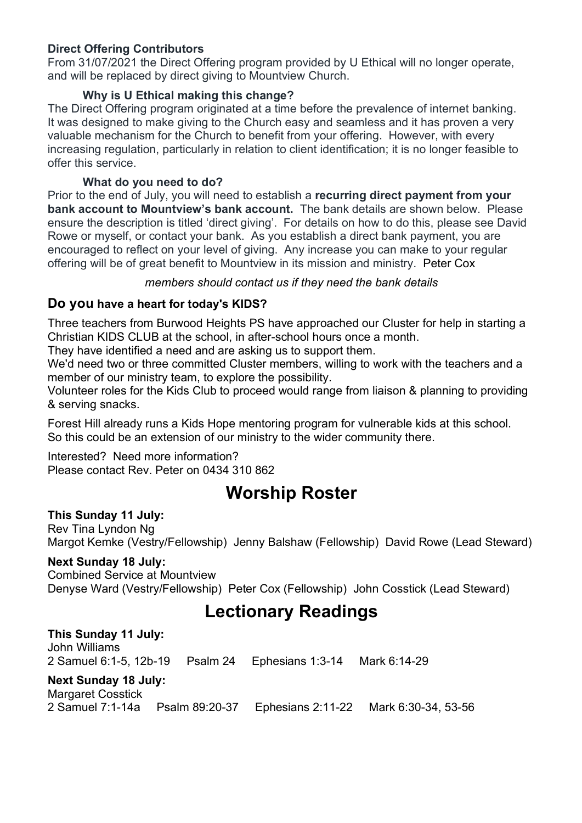#### **Direct Offering Contributors**

From 31/07/2021 the Direct Offering program provided by U Ethical will no longer operate, and will be replaced by direct giving to Mountview Church.

#### **Why is U Ethical making this change?**

The Direct Offering program originated at a time before the prevalence of internet banking. It was designed to make giving to the Church easy and seamless and it has proven a very valuable mechanism for the Church to benefit from your offering. However, with every increasing regulation, particularly in relation to client identification; it is no longer feasible to offer this service.

#### **What do you need to do?**

Prior to the end of July, you will need to establish a **recurring direct payment from your bank account to Mountview's bank account.** The bank details are shown below. Please ensure the description is titled 'direct giving'. For details on how to do this, please see David Rowe or myself, or contact your bank. As you establish a direct bank payment, you are encouraged to reflect on your level of giving. Any increase you can make to your regular offering will be of great benefit to Mountview in its mission and ministry. Peter Cox

#### *members should contact us if they need the bank details*

#### **Do you have a heart for today's KIDS?**

Three teachers from Burwood Heights PS have approached our Cluster for help in starting a Christian KIDS CLUB at the school, in after-school hours once a month.

They have identified a need and are asking us to support them.

We'd need two or three committed Cluster members, willing to work with the teachers and a member of our ministry team, to explore the possibility.

Volunteer roles for the Kids Club to proceed would range from liaison & planning to providing & serving snacks.

Forest Hill already runs a Kids Hope mentoring program for vulnerable kids at this school. So this could be an extension of our ministry to the wider community there.

#### Interested? Need more information? Please contact Rev. Peter on 0434 310 862

## **Worship Roster**

#### **This Sunday 11 July:**

Rev Tina Lyndon Ng Margot Kemke (Vestry/Fellowship) Jenny Balshaw (Fellowship) David Rowe (Lead Steward)

#### **Next Sunday 18 July:**

Combined Service at Mountview Denyse Ward (Vestry/Fellowship) Peter Cox (Fellowship) John Cosstick (Lead Steward)

## **Lectionary Readings**

**This Sunday 11 July:**  John Williams 2 Samuel 6:1-5, 12b-19 Psalm 24 Ephesians 1:3-14 Mark 6:14-29 **Next Sunday 18 July:**  Margaret Cosstick 2 Samuel 7:1-14a Psalm 89:20-37 Ephesians 2:11-22 Mark 6:30-34, 53-56